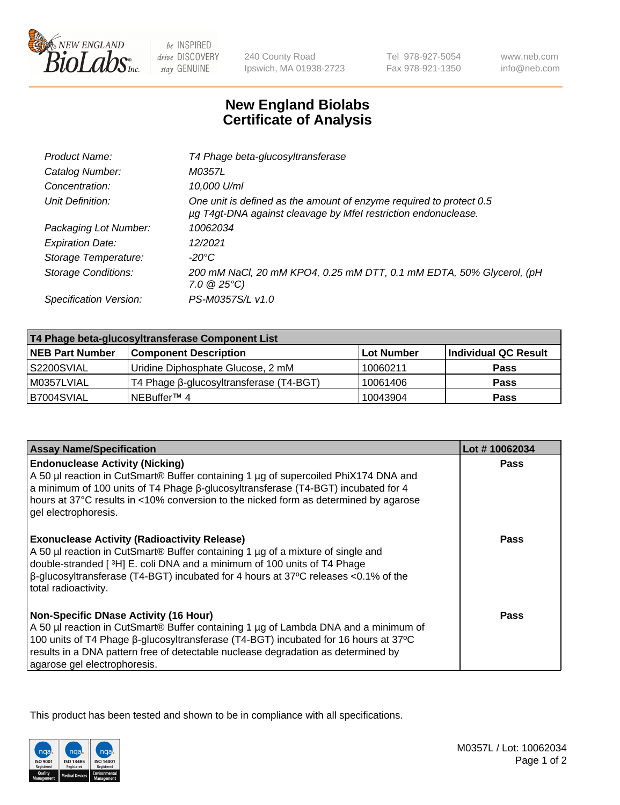

 $be$  INSPIRED drive DISCOVERY stay GENUINE

240 County Road Ipswich, MA 01938-2723 Tel 978-927-5054 Fax 978-921-1350 www.neb.com info@neb.com

## **New England Biolabs Certificate of Analysis**

| Product Name:              | T4 Phage beta-glucosyltransferase                                                                                                     |
|----------------------------|---------------------------------------------------------------------------------------------------------------------------------------|
| Catalog Number:            | M0357L                                                                                                                                |
| Concentration:             | 10,000 U/ml                                                                                                                           |
| Unit Definition:           | One unit is defined as the amount of enzyme required to protect 0.5<br>µg T4gt-DNA against cleavage by Mfel restriction endonuclease. |
| Packaging Lot Number:      | 10062034                                                                                                                              |
| <b>Expiration Date:</b>    | 12/2021                                                                                                                               |
| Storage Temperature:       | $-20^{\circ}$ C                                                                                                                       |
| <b>Storage Conditions:</b> | 200 mM NaCl, 20 mM KPO4, 0.25 mM DTT, 0.1 mM EDTA, 50% Glycerol, (pH<br>$7.0 \ @ 25^{\circ}C$                                         |
| Specification Version:     | PS-M0357S/L v1.0                                                                                                                      |
|                            |                                                                                                                                       |

| T4 Phage beta-glucosyltransferase Component List |                                         |            |                      |  |
|--------------------------------------------------|-----------------------------------------|------------|----------------------|--|
| <b>NEB Part Number</b>                           | <b>Component Description</b>            | Lot Number | Individual QC Result |  |
| S2200SVIAL                                       | Uridine Diphosphate Glucose, 2 mM       | 10060211   | <b>Pass</b>          |  |
| M0357LVIAL                                       | T4 Phage β-glucosyltransferase (T4-BGT) | 10061406   | <b>Pass</b>          |  |
| B7004SVIAL                                       | NEBuffer <sup>™</sup> 4                 | 10043904   | Pass                 |  |

| <b>Assay Name/Specification</b>                                                                                                                                                                                                                                                                                                                     | Lot #10062034 |
|-----------------------------------------------------------------------------------------------------------------------------------------------------------------------------------------------------------------------------------------------------------------------------------------------------------------------------------------------------|---------------|
| <b>Endonuclease Activity (Nicking)</b><br>A 50 µl reaction in CutSmart® Buffer containing 1 µg of supercoiled PhiX174 DNA and<br>a minimum of 100 units of T4 Phage ß-glucosyltransferase (T4-BGT) incubated for 4<br>hours at 37°C results in <10% conversion to the nicked form as determined by agarose<br>gel electrophoresis.                  | <b>Pass</b>   |
| <b>Exonuclease Activity (Radioactivity Release)</b><br>A 50 µl reaction in CutSmart® Buffer containing 1 µg of a mixture of single and<br>double-stranded [ <sup>3</sup> H] E. coli DNA and a minimum of 100 units of T4 Phage<br>$\beta$ -glucosyltransferase (T4-BGT) incubated for 4 hours at 37°C releases <0.1% of the<br>total radioactivity. | <b>Pass</b>   |
| <b>Non-Specific DNase Activity (16 Hour)</b><br>A 50 µl reaction in CutSmart® Buffer containing 1 µg of Lambda DNA and a minimum of<br>100 units of T4 Phage β-glucosyltransferase (T4-BGT) incubated for 16 hours at 37°C<br>results in a DNA pattern free of detectable nuclease degradation as determined by<br>agarose gel electrophoresis.     | Pass          |

This product has been tested and shown to be in compliance with all specifications.